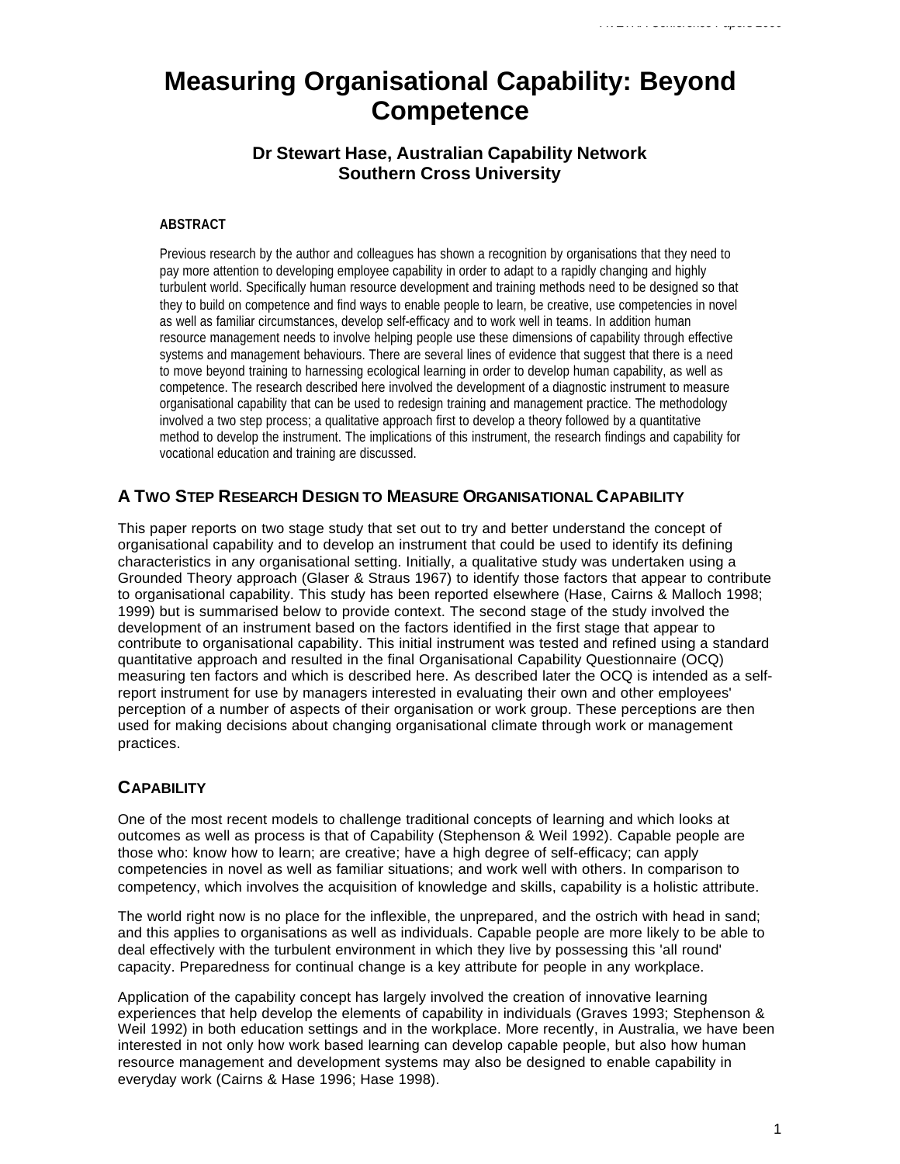# **Measuring Organisational Capability: Beyond Competence**

# **Dr Stewart Hase, Australian Capability Network Southern Cross University**

#### **ABSTRACT**

Previous research by the author and colleagues has shown a recognition by organisations that they need to pay more attention to developing employee capability in order to adapt to a rapidly changing and highly turbulent world. Specifically human resource development and training methods need to be designed so that they to build on competence and find ways to enable people to learn, be creative, use competencies in novel as well as familiar circumstances, develop self-efficacy and to work well in teams. In addition human resource management needs to involve helping people use these dimensions of capability through effective systems and management behaviours. There are several lines of evidence that suggest that there is a need to move beyond training to harnessing ecological learning in order to develop human capability, as well as competence. The research described here involved the development of a diagnostic instrument to measure organisational capability that can be used to redesign training and management practice. The methodology involved a two step process; a qualitative approach first to develop a theory followed by a quantitative method to develop the instrument. The implications of this instrument, the research findings and capability for vocational education and training are discussed.

# **A TWO STEP RESEARCH DESIGN TO MEASURE ORGANISATIONAL CAPABILITY**

This paper reports on two stage study that set out to try and better understand the concept of organisational capability and to develop an instrument that could be used to identify its defining characteristics in any organisational setting. Initially, a qualitative study was undertaken using a Grounded Theory approach (Glaser & Straus 1967) to identify those factors that appear to contribute to organisational capability. This study has been reported elsewhere (Hase, Cairns & Malloch 1998; 1999) but is summarised below to provide context. The second stage of the study involved the development of an instrument based on the factors identified in the first stage that appear to contribute to organisational capability. This initial instrument was tested and refined using a standard quantitative approach and resulted in the final Organisational Capability Questionnaire (OCQ) measuring ten factors and which is described here. As described later the OCQ is intended as a selfreport instrument for use by managers interested in evaluating their own and other employees' perception of a number of aspects of their organisation or work group. These perceptions are then used for making decisions about changing organisational climate through work or management practices.

# **CAPABILITY**

One of the most recent models to challenge traditional concepts of learning and which looks at outcomes as well as process is that of Capability (Stephenson & Weil 1992). Capable people are those who: know how to learn; are creative; have a high degree of self-efficacy; can apply competencies in novel as well as familiar situations; and work well with others. In comparison to competency, which involves the acquisition of knowledge and skills, capability is a holistic attribute.

The world right now is no place for the inflexible, the unprepared, and the ostrich with head in sand; and this applies to organisations as well as individuals. Capable people are more likely to be able to deal effectively with the turbulent environment in which they live by possessing this 'all round' capacity. Preparedness for continual change is a key attribute for people in any workplace.

Application of the capability concept has largely involved the creation of innovative learning experiences that help develop the elements of capability in individuals (Graves 1993; Stephenson & Weil 1992) in both education settings and in the workplace. More recently, in Australia, we have been interested in not only how work based learning can develop capable people, but also how human resource management and development systems may also be designed to enable capability in everyday work (Cairns & Hase 1996; Hase 1998).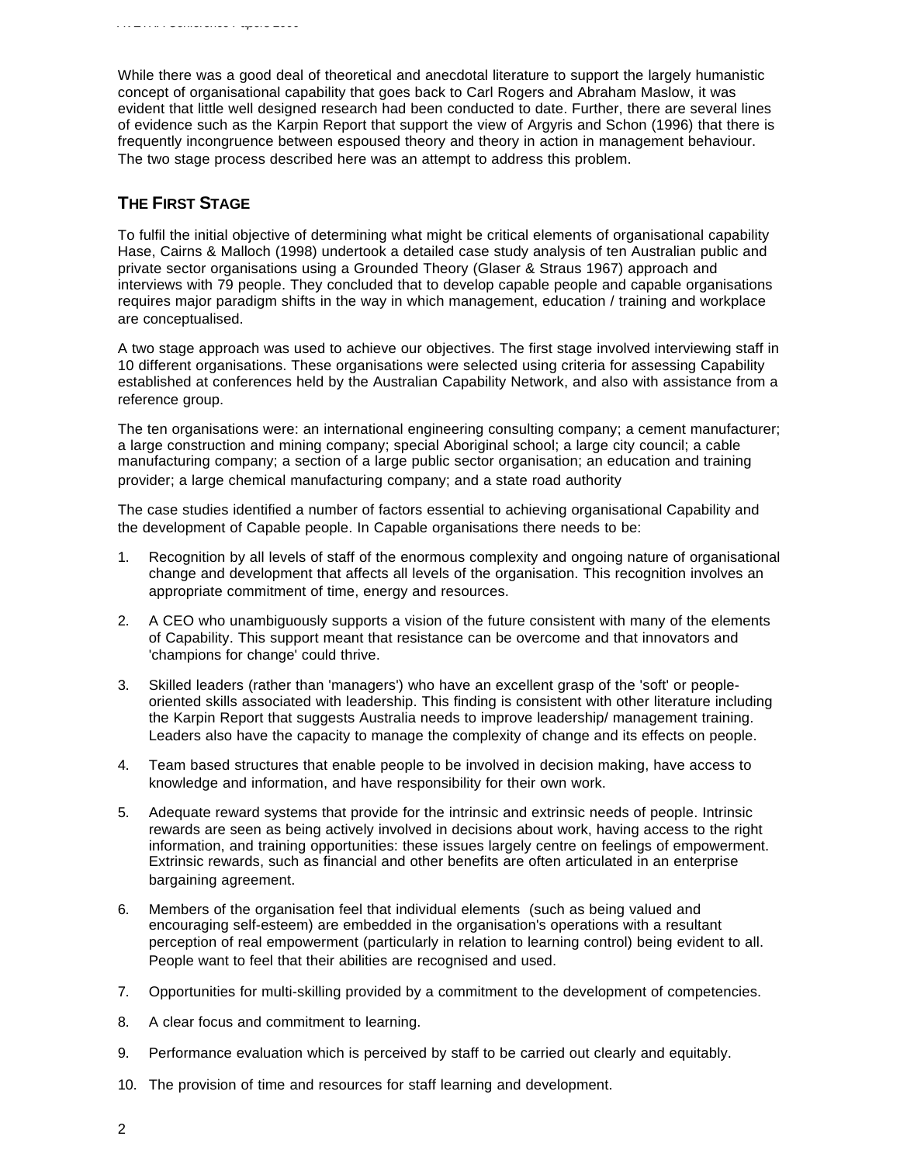While there was a good deal of theoretical and anecdotal literature to support the largely humanistic concept of organisational capability that goes back to Carl Rogers and Abraham Maslow, it was evident that little well designed research had been conducted to date. Further, there are several lines of evidence such as the Karpin Report that support the view of Argyris and Schon (1996) that there is frequently incongruence between espoused theory and theory in action in management behaviour. The two stage process described here was an attempt to address this problem.

### **THE FIRST STAGE**

To fulfil the initial objective of determining what might be critical elements of organisational capability Hase, Cairns & Malloch (1998) undertook a detailed case study analysis of ten Australian public and private sector organisations using a Grounded Theory (Glaser & Straus 1967) approach and interviews with 79 people. They concluded that to develop capable people and capable organisations requires major paradigm shifts in the way in which management, education / training and workplace are conceptualised.

A two stage approach was used to achieve our objectives. The first stage involved interviewing staff in 10 different organisations. These organisations were selected using criteria for assessing Capability established at conferences held by the Australian Capability Network, and also with assistance from a reference group.

The ten organisations were: an international engineering consulting company; a cement manufacturer; a large construction and mining company; special Aboriginal school; a large city council; a cable manufacturing company; a section of a large public sector organisation; an education and training provider; a large chemical manufacturing company; and a state road authority

The case studies identified a number of factors essential to achieving organisational Capability and the development of Capable people. In Capable organisations there needs to be:

- 1. Recognition by all levels of staff of the enormous complexity and ongoing nature of organisational change and development that affects all levels of the organisation. This recognition involves an appropriate commitment of time, energy and resources.
- 2. A CEO who unambiguously supports a vision of the future consistent with many of the elements of Capability. This support meant that resistance can be overcome and that innovators and 'champions for change' could thrive.
- 3. Skilled leaders (rather than 'managers') who have an excellent grasp of the 'soft' or peopleoriented skills associated with leadership. This finding is consistent with other literature including the Karpin Report that suggests Australia needs to improve leadership/ management training. Leaders also have the capacity to manage the complexity of change and its effects on people.
- 4. Team based structures that enable people to be involved in decision making, have access to knowledge and information, and have responsibility for their own work.
- 5. Adequate reward systems that provide for the intrinsic and extrinsic needs of people. Intrinsic rewards are seen as being actively involved in decisions about work, having access to the right information, and training opportunities: these issues largely centre on feelings of empowerment. Extrinsic rewards, such as financial and other benefits are often articulated in an enterprise bargaining agreement.
- 6. Members of the organisation feel that individual elements (such as being valued and encouraging self-esteem) are embedded in the organisation's operations with a resultant perception of real empowerment (particularly in relation to learning control) being evident to all. People want to feel that their abilities are recognised and used.
- 7. Opportunities for multi-skilling provided by a commitment to the development of competencies.
- 8. A clear focus and commitment to learning.
- 9. Performance evaluation which is perceived by staff to be carried out clearly and equitably.
- 10. The provision of time and resources for staff learning and development.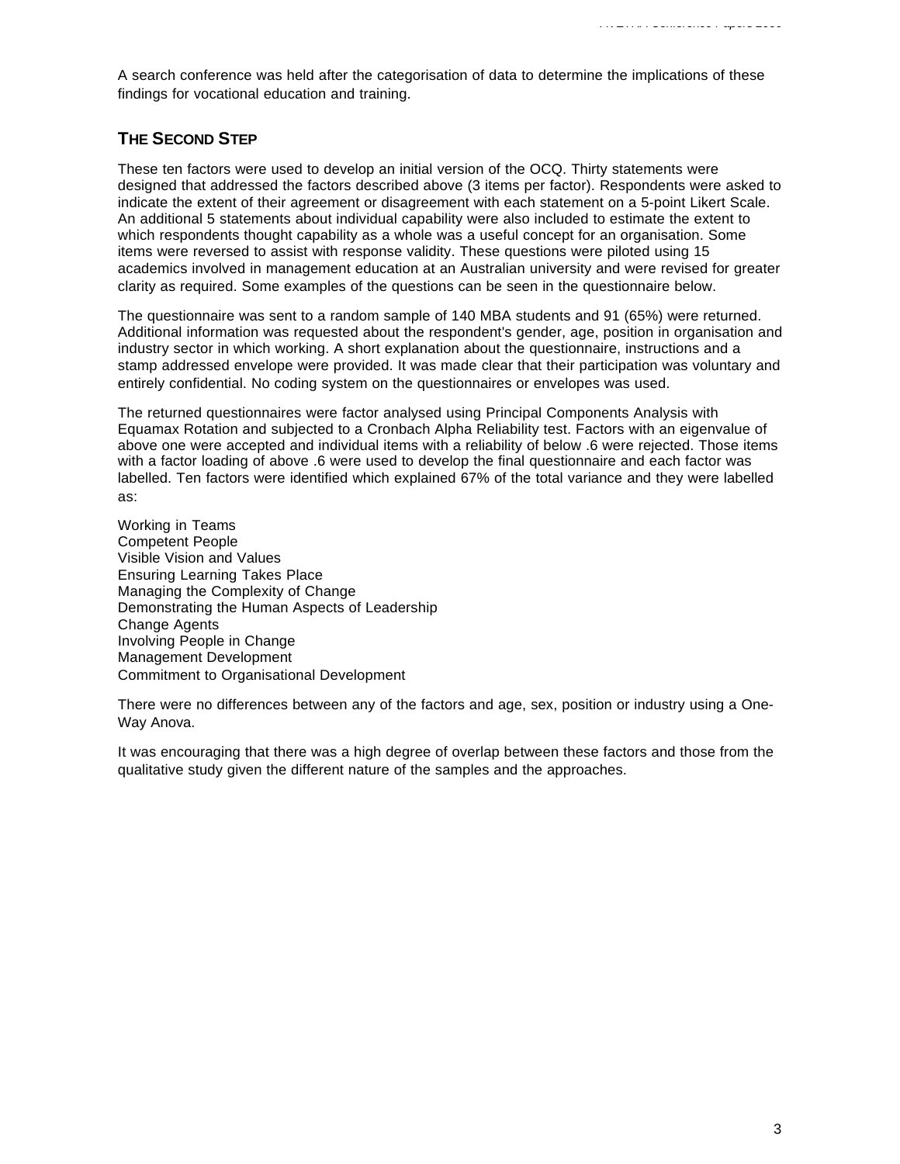A search conference was held after the categorisation of data to determine the implications of these findings for vocational education and training.

# **THE SECOND STEP**

These ten factors were used to develop an initial version of the OCQ. Thirty statements were designed that addressed the factors described above (3 items per factor). Respondents were asked to indicate the extent of their agreement or disagreement with each statement on a 5-point Likert Scale. An additional 5 statements about individual capability were also included to estimate the extent to which respondents thought capability as a whole was a useful concept for an organisation. Some items were reversed to assist with response validity. These questions were piloted using 15 academics involved in management education at an Australian university and were revised for greater clarity as required. Some examples of the questions can be seen in the questionnaire below.

The questionnaire was sent to a random sample of 140 MBA students and 91 (65%) were returned. Additional information was requested about the respondent's gender, age, position in organisation and industry sector in which working. A short explanation about the questionnaire, instructions and a stamp addressed envelope were provided. It was made clear that their participation was voluntary and entirely confidential. No coding system on the questionnaires or envelopes was used.

The returned questionnaires were factor analysed using Principal Components Analysis with Equamax Rotation and subjected to a Cronbach Alpha Reliability test. Factors with an eigenvalue of above one were accepted and individual items with a reliability of below .6 were rejected. Those items with a factor loading of above .6 were used to develop the final questionnaire and each factor was labelled. Ten factors were identified which explained 67% of the total variance and they were labelled as:

Working in Teams Competent People Visible Vision and Values Ensuring Learning Takes Place Managing the Complexity of Change Demonstrating the Human Aspects of Leadership Change Agents Involving People in Change Management Development Commitment to Organisational Development

There were no differences between any of the factors and age, sex, position or industry using a One-Way Anova.

It was encouraging that there was a high degree of overlap between these factors and those from the qualitative study given the different nature of the samples and the approaches.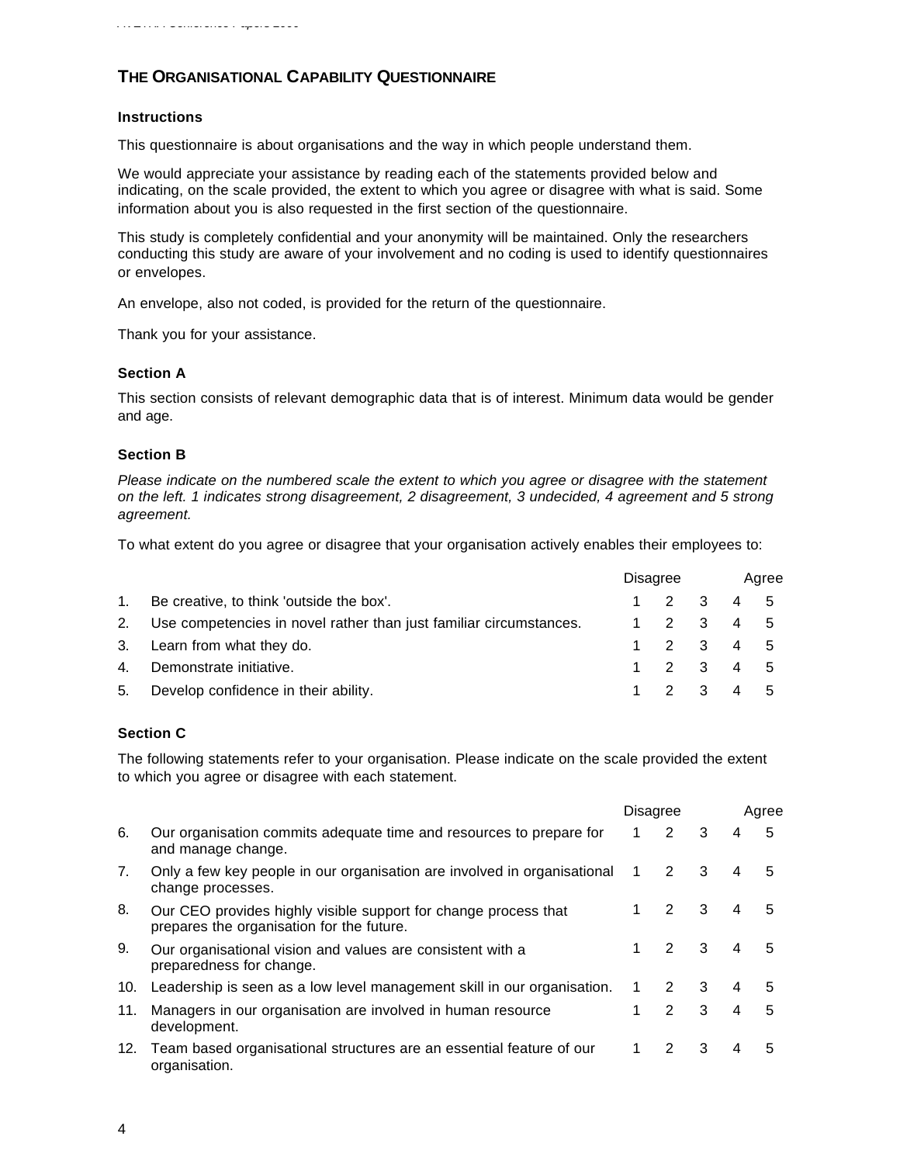# **THE ORGANISATIONAL CAPABILITY QUESTIONNAIRE**

### **Instructions**

This questionnaire is about organisations and the way in which people understand them.

We would appreciate your assistance by reading each of the statements provided below and indicating, on the scale provided, the extent to which you agree or disagree with what is said. Some information about you is also requested in the first section of the questionnaire.

This study is completely confidential and your anonymity will be maintained. Only the researchers conducting this study are aware of your involvement and no coding is used to identify questionnaires or envelopes.

An envelope, also not coded, is provided for the return of the questionnaire.

Thank you for your assistance.

#### **Section A**

This section consists of relevant demographic data that is of interest. Minimum data would be gender and age.

### **Section B**

*Please indicate on the numbered scale the extent to which you agree or disagree with the statement on the left. 1 indicates strong disagreement, 2 disagreement, 3 undecided, 4 agreement and 5 strong agreement.*

To what extent do you agree or disagree that your organisation actively enables their employees to:

|    |                                                                       | Disagree |           |  | Agree |  |  |
|----|-----------------------------------------------------------------------|----------|-----------|--|-------|--|--|
| 1. | Be creative, to think 'outside the box'.                              |          | 1 2 3 4 5 |  |       |  |  |
|    | 2. Use competencies in novel rather than just familiar circumstances. |          | 1 2 3 4 5 |  |       |  |  |
|    | 3. Learn from what they do.                                           |          | 1 2 3 4 5 |  |       |  |  |
| 4. | Demonstrate initiative.                                               |          | 1 2 3 4 5 |  |       |  |  |
| 5. | Develop confidence in their ability.                                  |          | 1 2 3 4 5 |  |       |  |  |

### **Section C**

The following statements refer to your organisation. Please indicate on the scale provided the extent to which you agree or disagree with each statement.

|     |                                                                                                              |   | <b>Disagree</b>      |   |   | Agree |  |  |
|-----|--------------------------------------------------------------------------------------------------------------|---|----------------------|---|---|-------|--|--|
| 6.  | Our organisation commits adequate time and resources to prepare for<br>and manage change.                    | 1 | $\overline{2}$       | 3 | 4 | 5     |  |  |
| 7.  | Only a few key people in our organisation are involved in organisational<br>change processes.                | 1 | $\mathbf{2}^{\circ}$ | 3 | 4 | 5     |  |  |
| 8.  | Our CEO provides highly visible support for change process that<br>prepares the organisation for the future. |   | 2                    | 3 | 4 | 5     |  |  |
| 9.  | Our organisational vision and values are consistent with a<br>preparedness for change.                       |   | 2                    | 3 | 4 | 5     |  |  |
| 10. | Leadership is seen as a low level management skill in our organisation.                                      |   | 2                    | 3 | 4 | 5     |  |  |
| 11. | Managers in our organisation are involved in human resource<br>development.                                  | 1 | $\mathbf{2}$         | 3 | 4 | 5     |  |  |
| 12. | Team based organisational structures are an essential feature of our<br>organisation.                        |   | 2                    | 3 | 4 | 5     |  |  |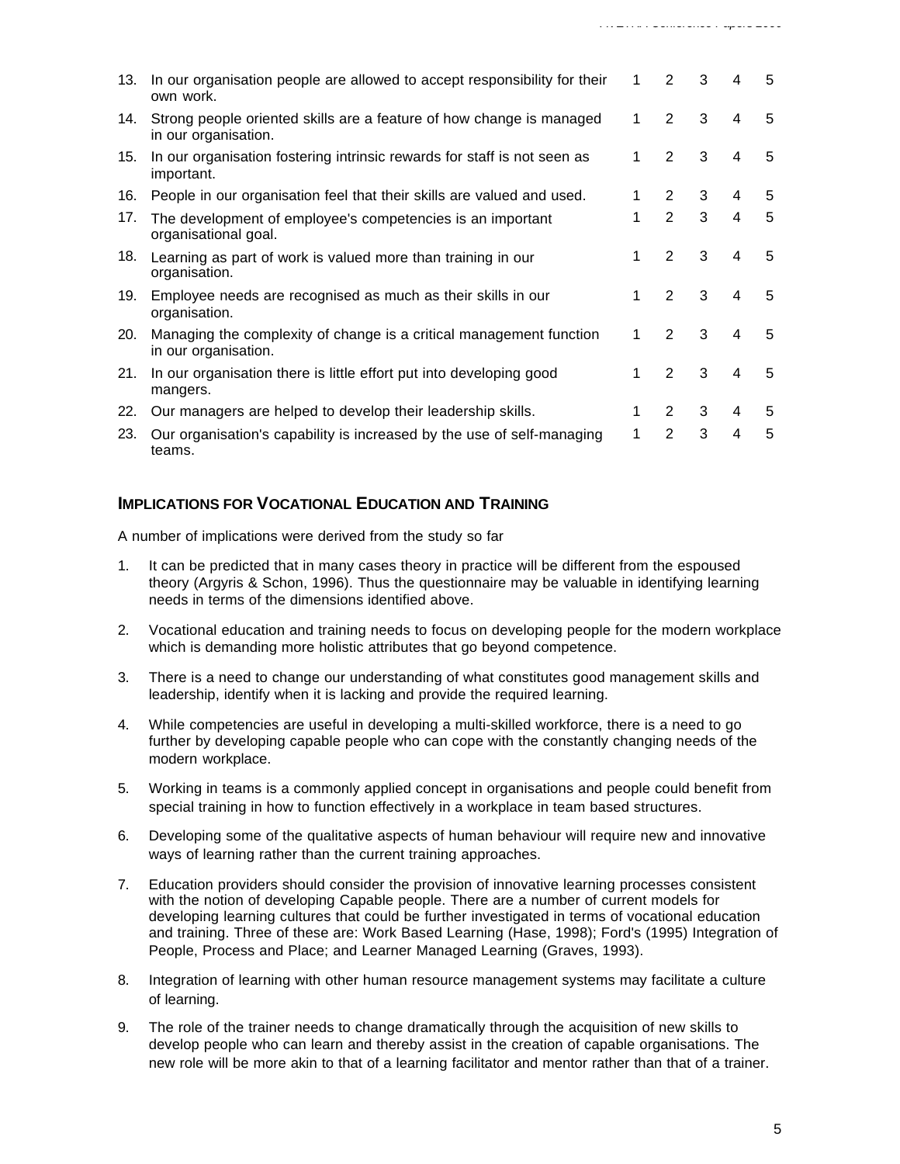| 13. | In our organisation people are allowed to accept responsibility for their<br>own work.       | 1 | 2              | 3 | 4 | 5 |
|-----|----------------------------------------------------------------------------------------------|---|----------------|---|---|---|
| 14. | Strong people oriented skills are a feature of how change is managed<br>in our organisation. | 1 | $\overline{2}$ | 3 | 4 | 5 |
| 15. | In our organisation fostering intrinsic rewards for staff is not seen as<br>important.       | 1 | $\overline{2}$ | 3 | 4 | 5 |
| 16. | People in our organisation feel that their skills are valued and used.                       | 1 | $\overline{2}$ | 3 | 4 | 5 |
| 17. | The development of employee's competencies is an important<br>organisational goal.           | 1 | $\overline{2}$ | 3 | 4 | 5 |
| 18. | Learning as part of work is valued more than training in our<br>organisation.                | 1 | 2              | 3 | 4 | 5 |
| 19. | Employee needs are recognised as much as their skills in our<br>organisation.                | 1 | $\overline{2}$ | 3 | 4 | 5 |
| 20. | Managing the complexity of change is a critical management function<br>in our organisation.  | 1 | $\overline{2}$ | 3 | 4 | 5 |
| 21. | In our organisation there is little effort put into developing good<br>mangers.              | 1 | $\overline{2}$ | 3 | 4 | 5 |
| 22. | Our managers are helped to develop their leadership skills.                                  | 1 | $\overline{2}$ | 3 | 4 | 5 |
| 23. | Our organisation's capability is increased by the use of self-managing<br>teams.             | 1 | $\mathbf{2}$   | 3 | 4 | 5 |

*AVETRA Conference Papers 2000*

# **IMPLICATIONS FOR VOCATIONAL EDUCATION AND TRAINING**

A number of implications were derived from the study so far

- It can be predicted that in many cases theory in practice will be different from the espoused theory (Argyris & Schon, 1996). Thus the questionnaire may be valuable in identifying learning needs in terms of the dimensions identified above.
- 2. Vocational education and training needs to focus on developing people for the modern workplace which is demanding more holistic attributes that go beyond competence.
- 3. There is a need to change our understanding of what constitutes good management skills and leadership, identify when it is lacking and provide the required learning.
- 4. While competencies are useful in developing a multi-skilled workforce, there is a need to go further by developing capable people who can cope with the constantly changing needs of the modern workplace.
- 5. Working in teams is a commonly applied concept in organisations and people could benefit from special training in how to function effectively in a workplace in team based structures.
- 6. Developing some of the qualitative aspects of human behaviour will require new and innovative ways of learning rather than the current training approaches.
- 7. Education providers should consider the provision of innovative learning processes consistent with the notion of developing Capable people. There are a number of current models for developing learning cultures that could be further investigated in terms of vocational education and training. Three of these are: Work Based Learning (Hase, 1998); Ford's (1995) Integration of People, Process and Place; and Learner Managed Learning (Graves, 1993).
- 8. Integration of learning with other human resource management systems may facilitate a culture of learning.
- 9. The role of the trainer needs to change dramatically through the acquisition of new skills to develop people who can learn and thereby assist in the creation of capable organisations. The new role will be more akin to that of a learning facilitator and mentor rather than that of a trainer.